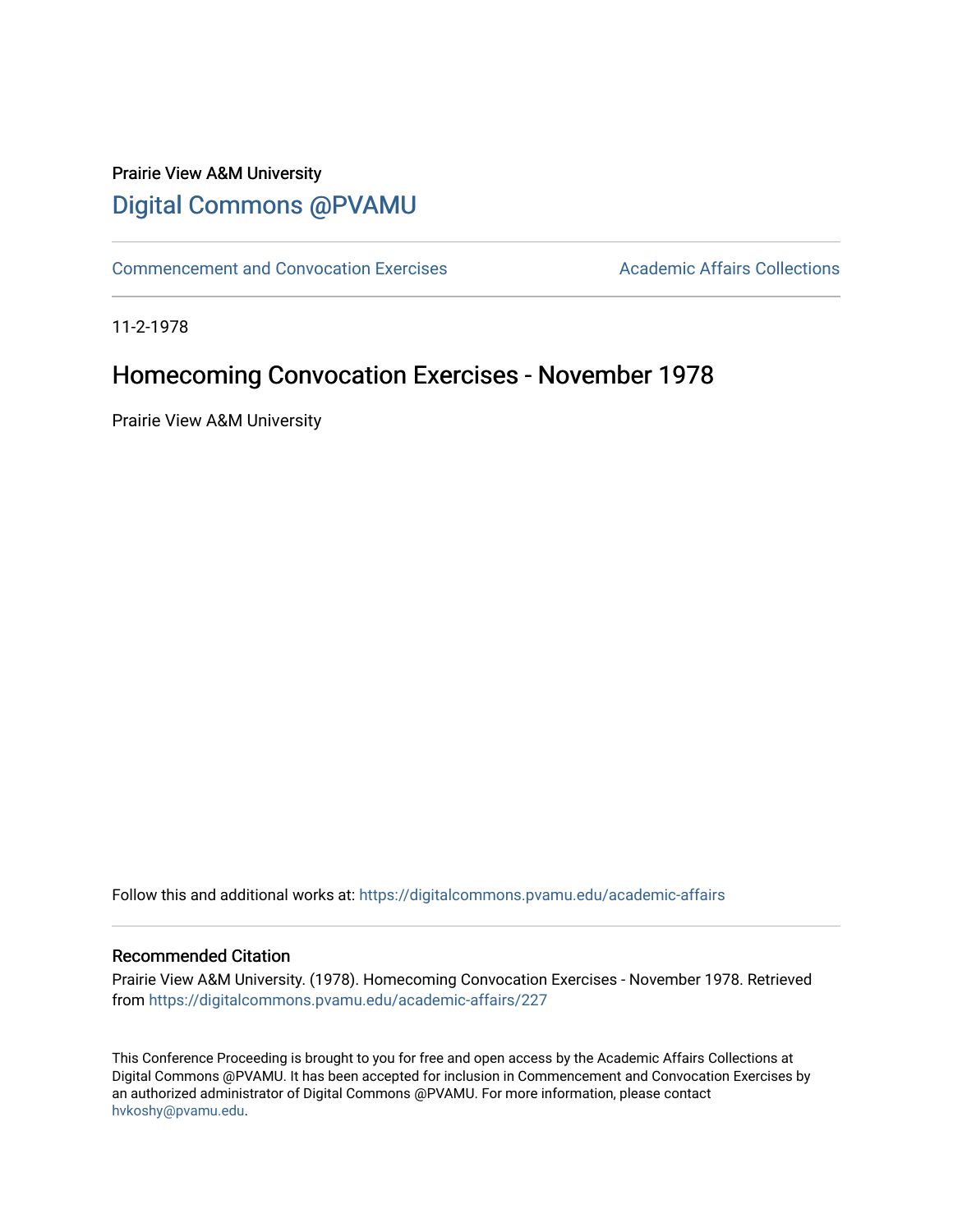## Prairie View A&M University [Digital Commons @PVAMU](https://digitalcommons.pvamu.edu/)

[Commencement and Convocation Exercises](https://digitalcommons.pvamu.edu/academic-affairs) **Academic Affairs Collections** 

11-2-1978

### Homecoming Convocation Exercises - November 1978

Prairie View A&M University

Follow this and additional works at: [https://digitalcommons.pvamu.edu/academic-affairs](https://digitalcommons.pvamu.edu/academic-affairs?utm_source=digitalcommons.pvamu.edu%2Facademic-affairs%2F227&utm_medium=PDF&utm_campaign=PDFCoverPages)

#### Recommended Citation

Prairie View A&M University. (1978). Homecoming Convocation Exercises - November 1978. Retrieved from [https://digitalcommons.pvamu.edu/academic-affairs/227](https://digitalcommons.pvamu.edu/academic-affairs/227?utm_source=digitalcommons.pvamu.edu%2Facademic-affairs%2F227&utm_medium=PDF&utm_campaign=PDFCoverPages) 

This Conference Proceeding is brought to you for free and open access by the Academic Affairs Collections at Digital Commons @PVAMU. It has been accepted for inclusion in Commencement and Convocation Exercises by an authorized administrator of Digital Commons @PVAMU. For more information, please contact [hvkoshy@pvamu.edu](mailto:hvkoshy@pvamu.edu).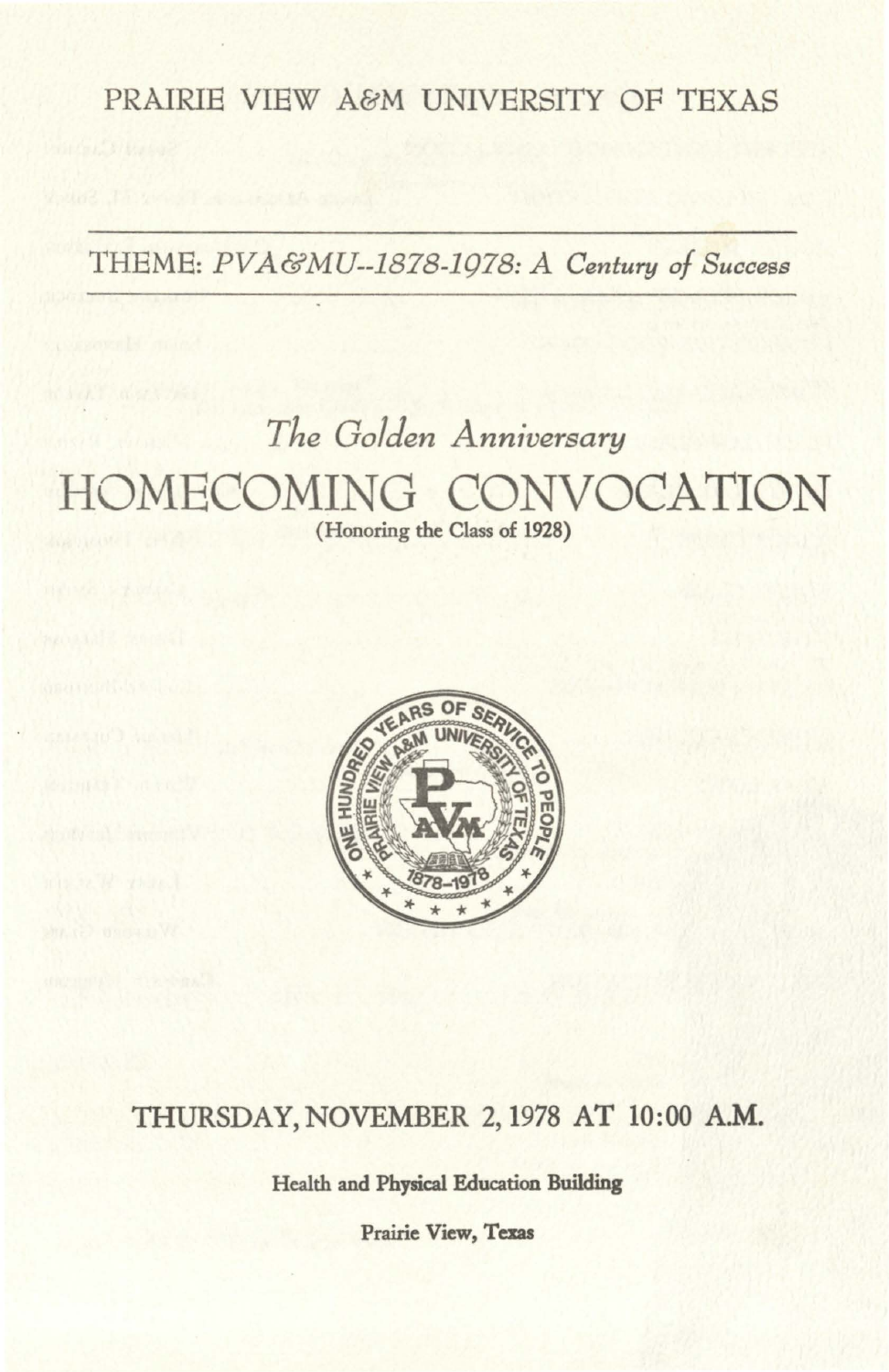PRAIRIE VIEW A&M UNIVERSITY OF TEXAS

THEME: *PVA&MU--1878-1978: A Century of Success* 

# *The Golden Anniversary*  HOMECOMING CONVOCATION

**(Honoring the Class of 1928)** 



### THURSDAY, NOVEMBER 2, 1978 AT 10:00 A.M.

Health and Physical Education **Building** 

**Prairie View, Texas**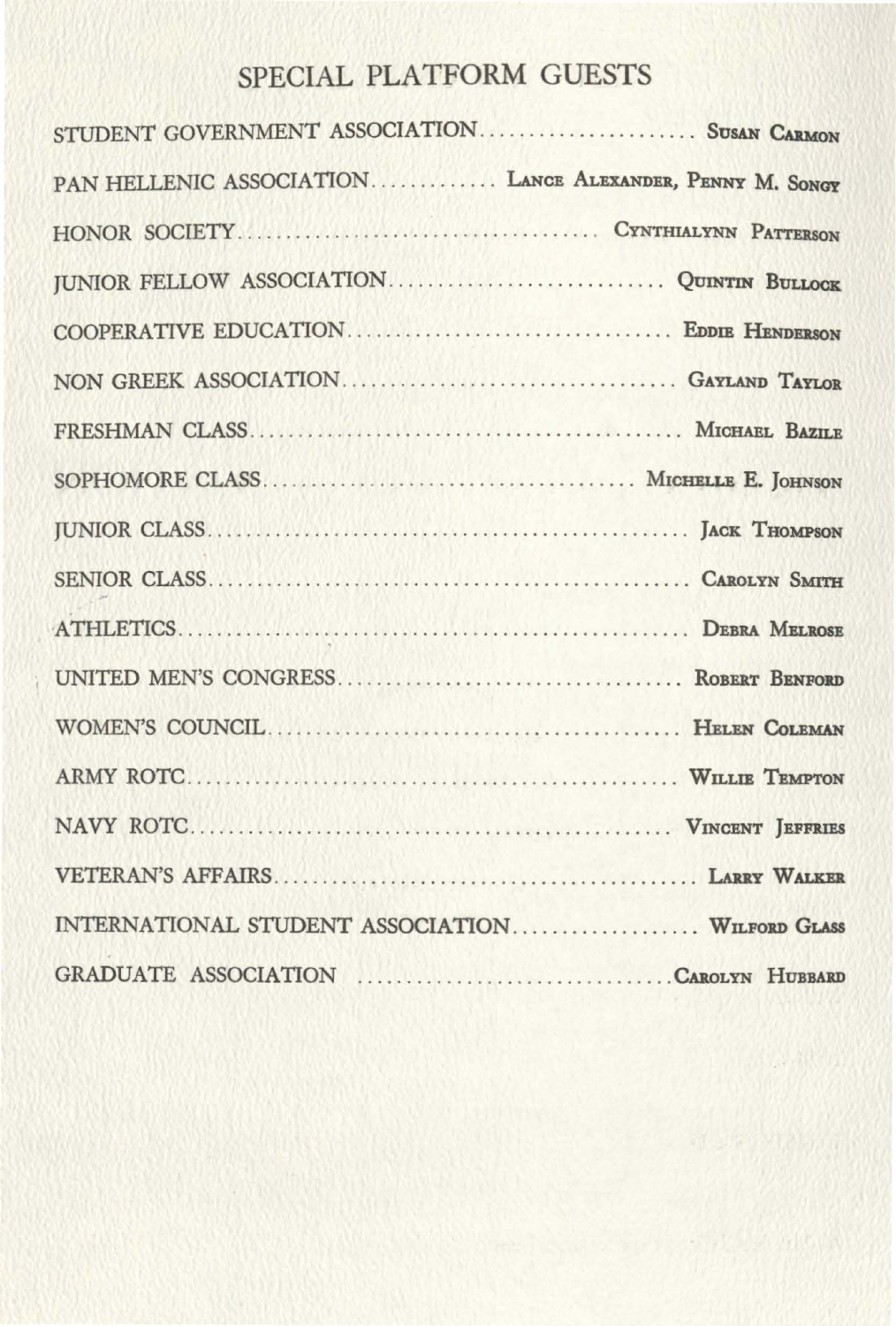# SPECIAL PLATFORM GUESTS

| STUDENT GOVERNMENT ASSOCIATION SUSAN CARMON              |  |
|----------------------------------------------------------|--|
| PAN HELLENIC ASSOCIATION LANCE ALEXANDER, PENNY M. SONGY |  |
|                                                          |  |
|                                                          |  |
|                                                          |  |
|                                                          |  |
|                                                          |  |
|                                                          |  |
|                                                          |  |
|                                                          |  |
|                                                          |  |
|                                                          |  |
|                                                          |  |
|                                                          |  |
|                                                          |  |
|                                                          |  |
| INTERNATIONAL STUDENT ASSOCIATION WILFORD GLASS          |  |
|                                                          |  |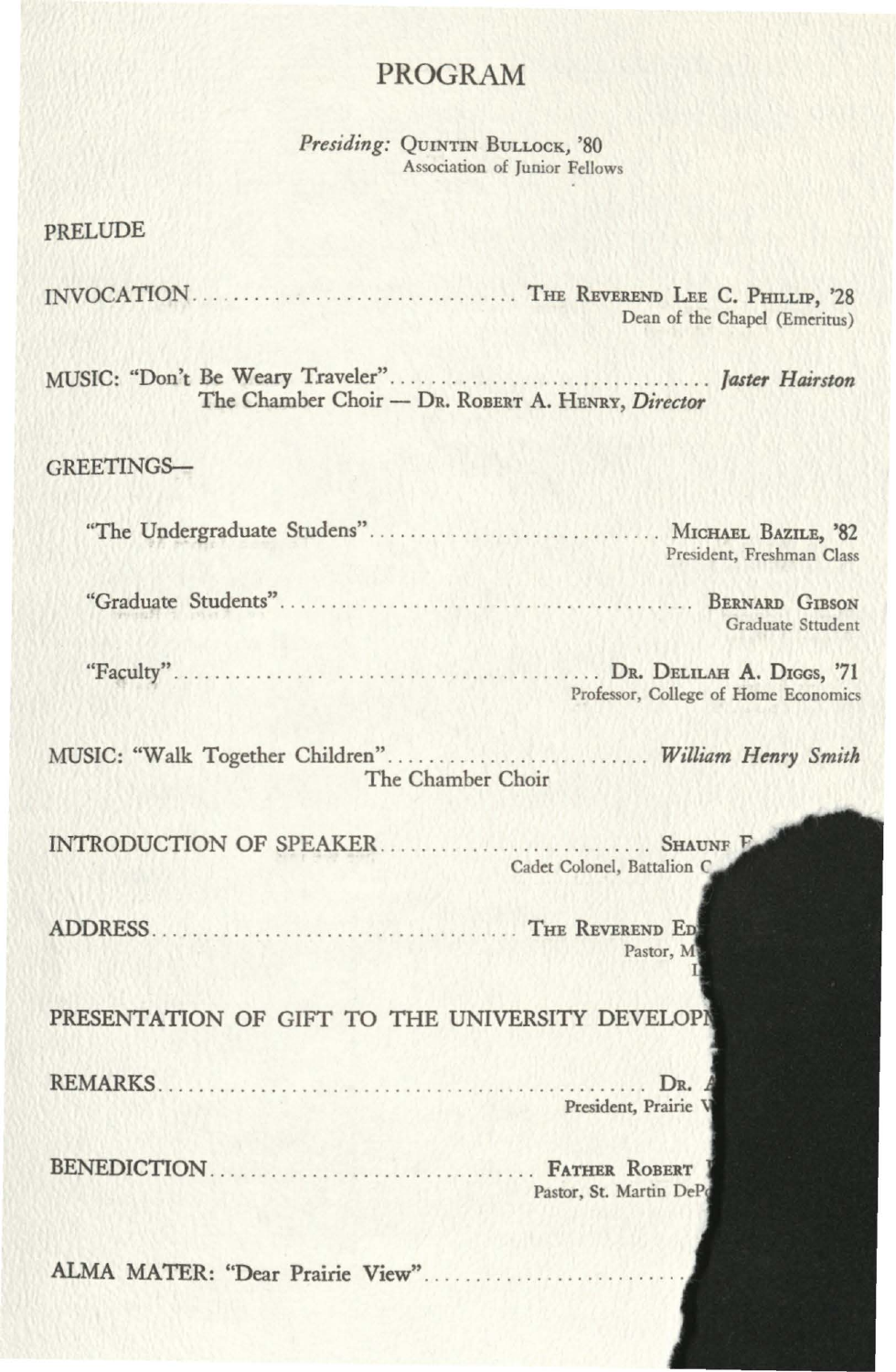### PROGRAM

Presiding: QUINTIN BULLOCK, '80 Association of Junior Fellows

|  | PRELUDE |
|--|---------|
|  |         |

INVOCATION . . . . . . . . . . . . . . . . . . . . . . . . . . . . . . . . THE REVEREND LEE C. PHILLIP, '28 Dean of the Chapel (Emeritus)

MUSIC: "Don't Be Weary Traveler" .............. . ................ . */aster Hairston*  The Chamber Choir - DR. RoBERT A. HENRY, *Director* 

#### GREETINGS-

| "The Undergraduate Studens" MICHAEL BAZILE, '82                          | President, Freshman Class                  |
|--------------------------------------------------------------------------|--------------------------------------------|
|                                                                          | BERNARD GIBSON<br><b>Graduate Sttudent</b> |
|                                                                          | Professor, College of Home Economics       |
| MUSIC: "Walk Together Children" William Henry Smith<br>The Chamber Choir |                                            |
|                                                                          | Cadet Colonel, Battalion C.                |
|                                                                          | Pastor, M                                  |
| PRESENTATION OF GIFT TO THE UNIVERSITY DEVELOPI                          |                                            |
| REMARKS                                                                  | DR.<br>President, Prairie V                |
|                                                                          | Pastor, St. Martin DePo                    |
|                                                                          |                                            |